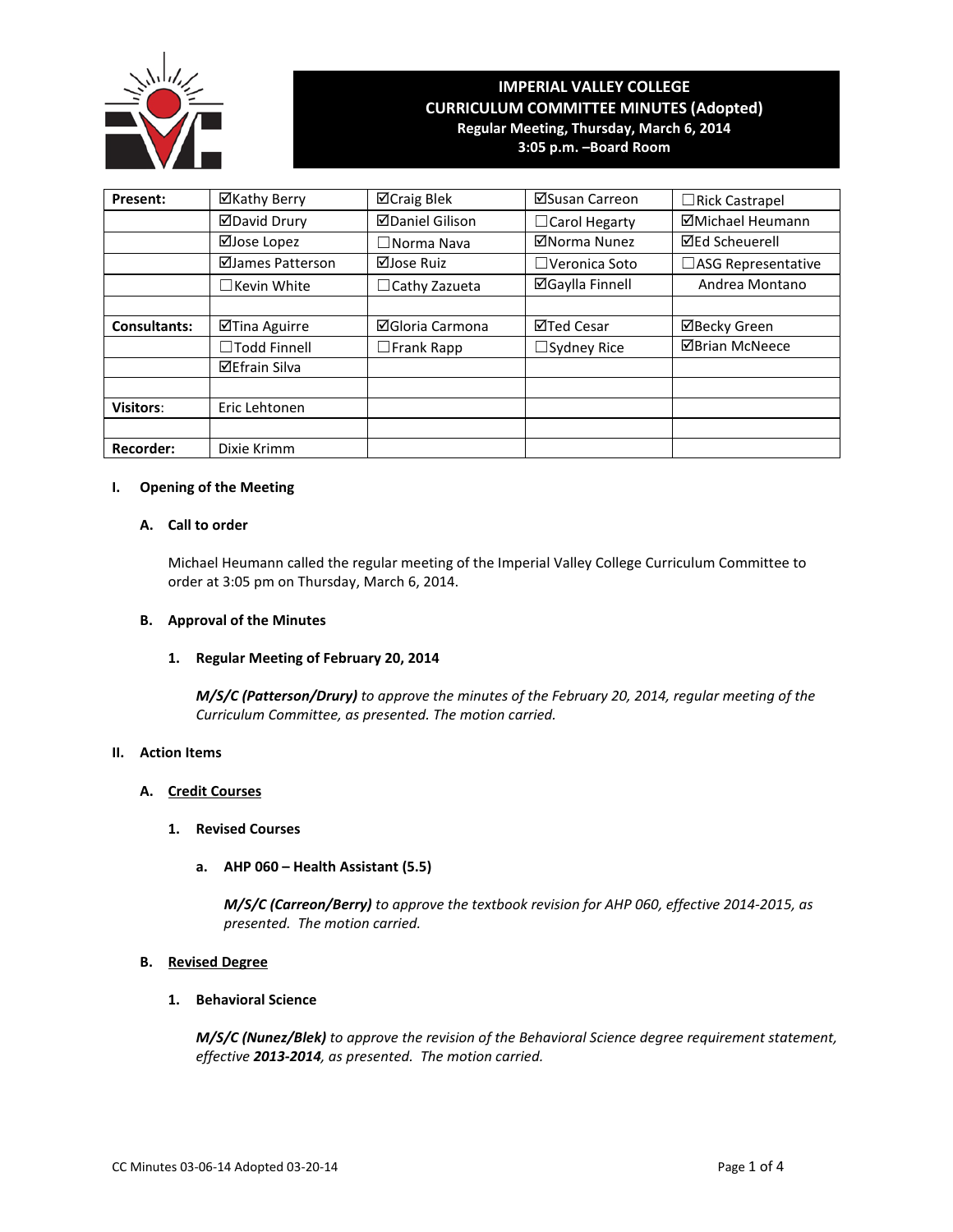

# **IMPERIAL VALLEY COLLEGE CURRICULUM COMMITTEE MINUTES (Adopted) Regular Meeting, Thursday, March 6, 2014 3:05 p.m. –Board Room**

| Present:            | ⊠Kathy Berry         | ⊠Craig Blek            | ⊠Susan Carreon         | □Rick Castrapel       |
|---------------------|----------------------|------------------------|------------------------|-----------------------|
|                     | <b>ØDavid Drury</b>  | <b>ØDaniel Gilison</b> | $\Box$ Carol Hegarty   | ⊠Michael Heumann      |
|                     | ⊠Jose Lopez          | $\Box$ Norma Nava      | ⊠Norma Nunez           | <b>⊠Ed Scheuerell</b> |
|                     | ⊠James Patterson     | $\Box$ Jose Ruiz       | $\Box$ Veronica Soto   | □ASG Representative   |
|                     | $\Box$ Kevin White   | $\Box$ Cathy Zazueta   | <b>⊠Gaylla Finnell</b> | Andrea Montano        |
|                     |                      |                        |                        |                       |
| <b>Consultants:</b> | ⊠Tina Aguirre        | ⊠Gloria Carmona        | ⊠Ted Cesar             | ⊠Becky Green          |
|                     | □Todd Finnell        | $\square$ Frank Rapp   | $\Box$ Sydney Rice     | <b>ØBrian McNeece</b> |
|                     | <b>⊠Efrain Silva</b> |                        |                        |                       |
|                     |                      |                        |                        |                       |
| <b>Visitors:</b>    | Eric Lehtonen        |                        |                        |                       |
|                     |                      |                        |                        |                       |
| <b>Recorder:</b>    | Dixie Krimm          |                        |                        |                       |

# **I. Opening of the Meeting**

## **A. Call to order**

Michael Heumann called the regular meeting of the Imperial Valley College Curriculum Committee to order at 3:05 pm on Thursday, March 6, 2014.

### **B. Approval of the Minutes**

## **1. Regular Meeting of February 20, 2014**

*M/S/C (Patterson/Drury) to approve the minutes of the February 20, 2014, regular meeting of the Curriculum Committee, as presented. The motion carried.*

# **II. Action Items**

### **A. Credit Courses**

## **1. Revised Courses**

**a. AHP 060 – Health Assistant (5.5)**

*M/S/C (Carreon/Berry) to approve the textbook revision for AHP 060, effective 2014-2015, as presented. The motion carried.*

## **B. Revised Degree**

## **1. Behavioral Science**

*M/S/C (Nunez/Blek) to approve the revision of the Behavioral Science degree requirement statement, effective 2013-2014, as presented. The motion carried.*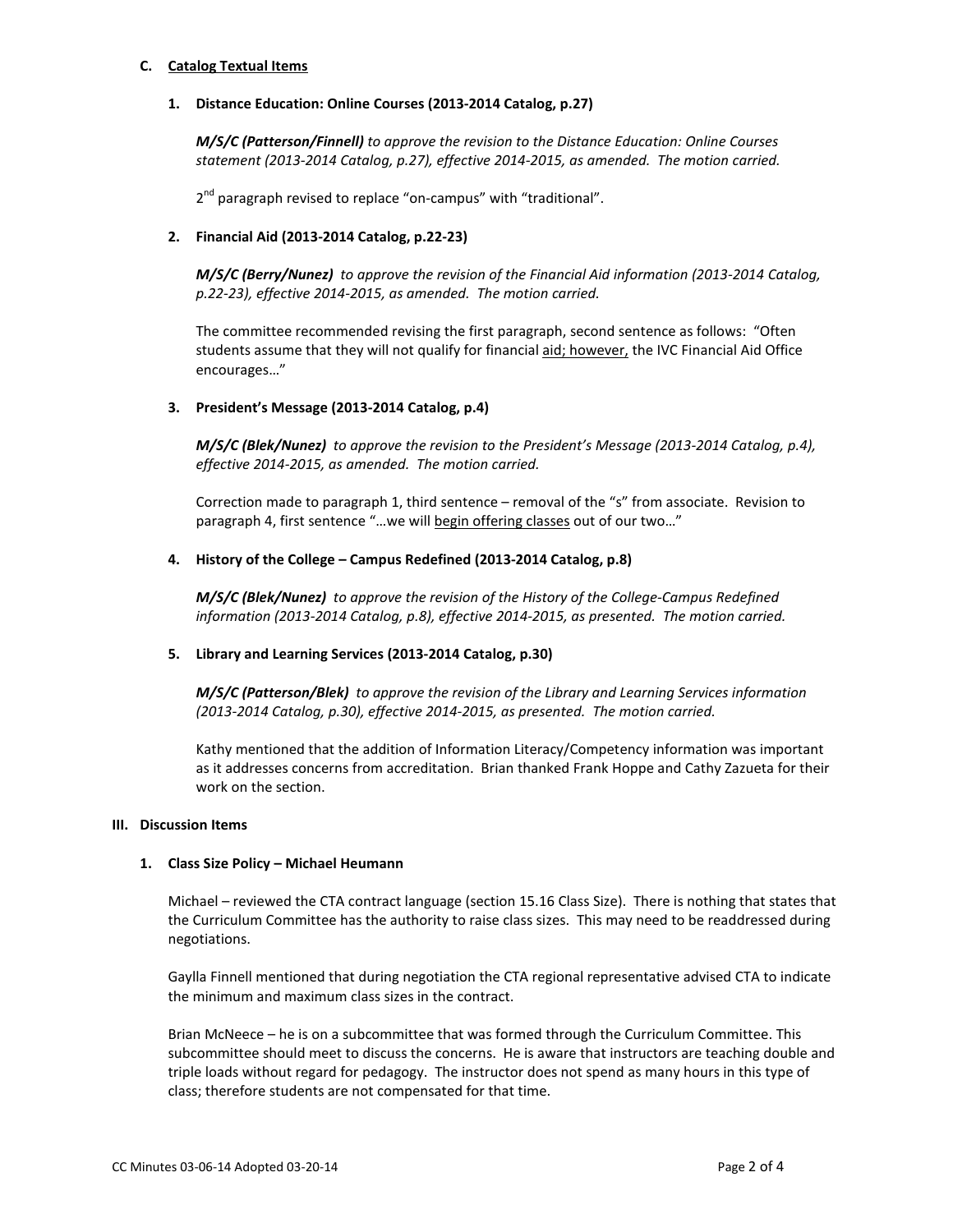## **C. Catalog Textual Items**

## **1. Distance Education: Online Courses (2013-2014 Catalog, p.27)**

*M/S/C (Patterson/Finnell) to approve the revision to the Distance Education: Online Courses statement (2013-2014 Catalog, p.27), effective 2014-2015, as amended. The motion carried.*

2<sup>nd</sup> paragraph revised to replace "on-campus" with "traditional".

## **2. Financial Aid (2013-2014 Catalog, p.22-23)**

*M/S/C (Berry/Nunez) to approve the revision of the Financial Aid information (2013-2014 Catalog, p.22-23), effective 2014-2015, as amended. The motion carried.*

The committee recommended revising the first paragraph, second sentence as follows: "Often students assume that they will not qualify for financial aid; however, the IVC Financial Aid Office encourages…"

## **3. President's Message (2013-2014 Catalog, p.4)**

*M/S/C (Blek/Nunez) to approve the revision to the President's Message (2013-2014 Catalog, p.4), effective 2014-2015, as amended. The motion carried.*

Correction made to paragraph 1, third sentence – removal of the "s" from associate. Revision to paragraph 4, first sentence "...we will begin offering classes out of our two..."

## **4. History of the College – Campus Redefined (2013-2014 Catalog, p.8)**

*M/S/C (Blek/Nunez) to approve the revision of the History of the College-Campus Redefined information (2013-2014 Catalog, p.8), effective 2014-2015, as presented. The motion carried.*

# **5. Library and Learning Services (2013-2014 Catalog, p.30)**

*M/S/C (Patterson/Blek) to approve the revision of the Library and Learning Services information (2013-2014 Catalog, p.30), effective 2014-2015, as presented. The motion carried.*

Kathy mentioned that the addition of Information Literacy/Competency information was important as it addresses concerns from accreditation. Brian thanked Frank Hoppe and Cathy Zazueta for their work on the section.

### **III. Discussion Items**

### **1. Class Size Policy – Michael Heumann**

Michael – reviewed the CTA contract language (section 15.16 Class Size). There is nothing that states that the Curriculum Committee has the authority to raise class sizes. This may need to be readdressed during negotiations.

Gaylla Finnell mentioned that during negotiation the CTA regional representative advised CTA to indicate the minimum and maximum class sizes in the contract.

Brian McNeece – he is on a subcommittee that was formed through the Curriculum Committee. This subcommittee should meet to discuss the concerns. He is aware that instructors are teaching double and triple loads without regard for pedagogy. The instructor does not spend as many hours in this type of class; therefore students are not compensated for that time.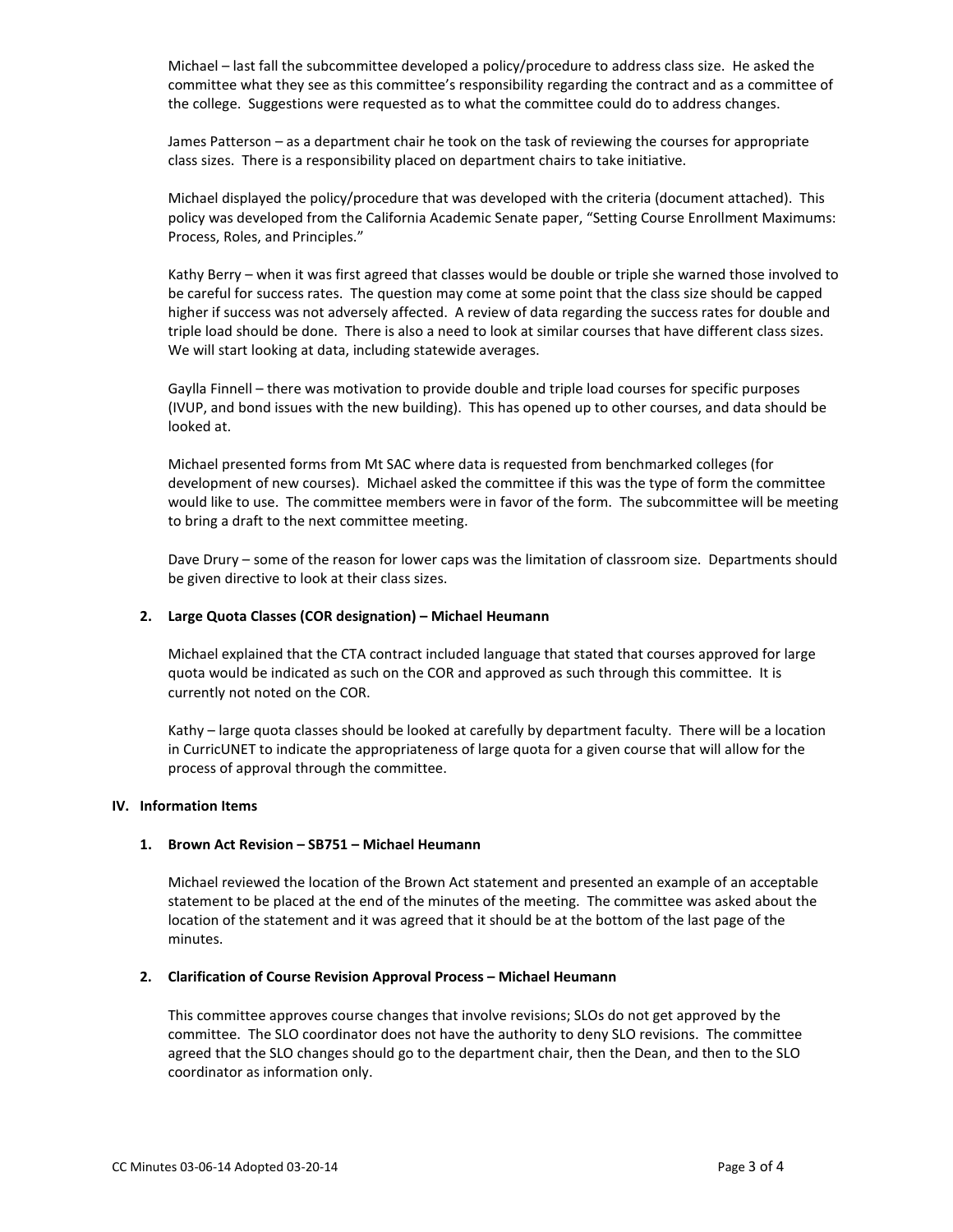Michael – last fall the subcommittee developed a policy/procedure to address class size. He asked the committee what they see as this committee's responsibility regarding the contract and as a committee of the college. Suggestions were requested as to what the committee could do to address changes.

James Patterson – as a department chair he took on the task of reviewing the courses for appropriate class sizes. There is a responsibility placed on department chairs to take initiative.

Michael displayed the policy/procedure that was developed with the criteria (document attached). This policy was developed from the California Academic Senate paper, "Setting Course Enrollment Maximums: Process, Roles, and Principles."

Kathy Berry – when it was first agreed that classes would be double or triple she warned those involved to be careful for success rates. The question may come at some point that the class size should be capped higher if success was not adversely affected. A review of data regarding the success rates for double and triple load should be done. There is also a need to look at similar courses that have different class sizes. We will start looking at data, including statewide averages.

Gaylla Finnell – there was motivation to provide double and triple load courses for specific purposes (IVUP, and bond issues with the new building). This has opened up to other courses, and data should be looked at.

Michael presented forms from Mt SAC where data is requested from benchmarked colleges (for development of new courses). Michael asked the committee if this was the type of form the committee would like to use. The committee members were in favor of the form. The subcommittee will be meeting to bring a draft to the next committee meeting.

Dave Drury – some of the reason for lower caps was the limitation of classroom size. Departments should be given directive to look at their class sizes.

### **2. Large Quota Classes (COR designation) – Michael Heumann**

Michael explained that the CTA contract included language that stated that courses approved for large quota would be indicated as such on the COR and approved as such through this committee. It is currently not noted on the COR.

Kathy – large quota classes should be looked at carefully by department faculty. There will be a location in CurricUNET to indicate the appropriateness of large quota for a given course that will allow for the process of approval through the committee.

### **IV. Information Items**

### **1. Brown Act Revision – SB751 – Michael Heumann**

Michael reviewed the location of the Brown Act statement and presented an example of an acceptable statement to be placed at the end of the minutes of the meeting. The committee was asked about the location of the statement and it was agreed that it should be at the bottom of the last page of the minutes.

### **2. Clarification of Course Revision Approval Process – Michael Heumann**

This committee approves course changes that involve revisions; SLOs do not get approved by the committee. The SLO coordinator does not have the authority to deny SLO revisions. The committee agreed that the SLO changes should go to the department chair, then the Dean, and then to the SLO coordinator as information only.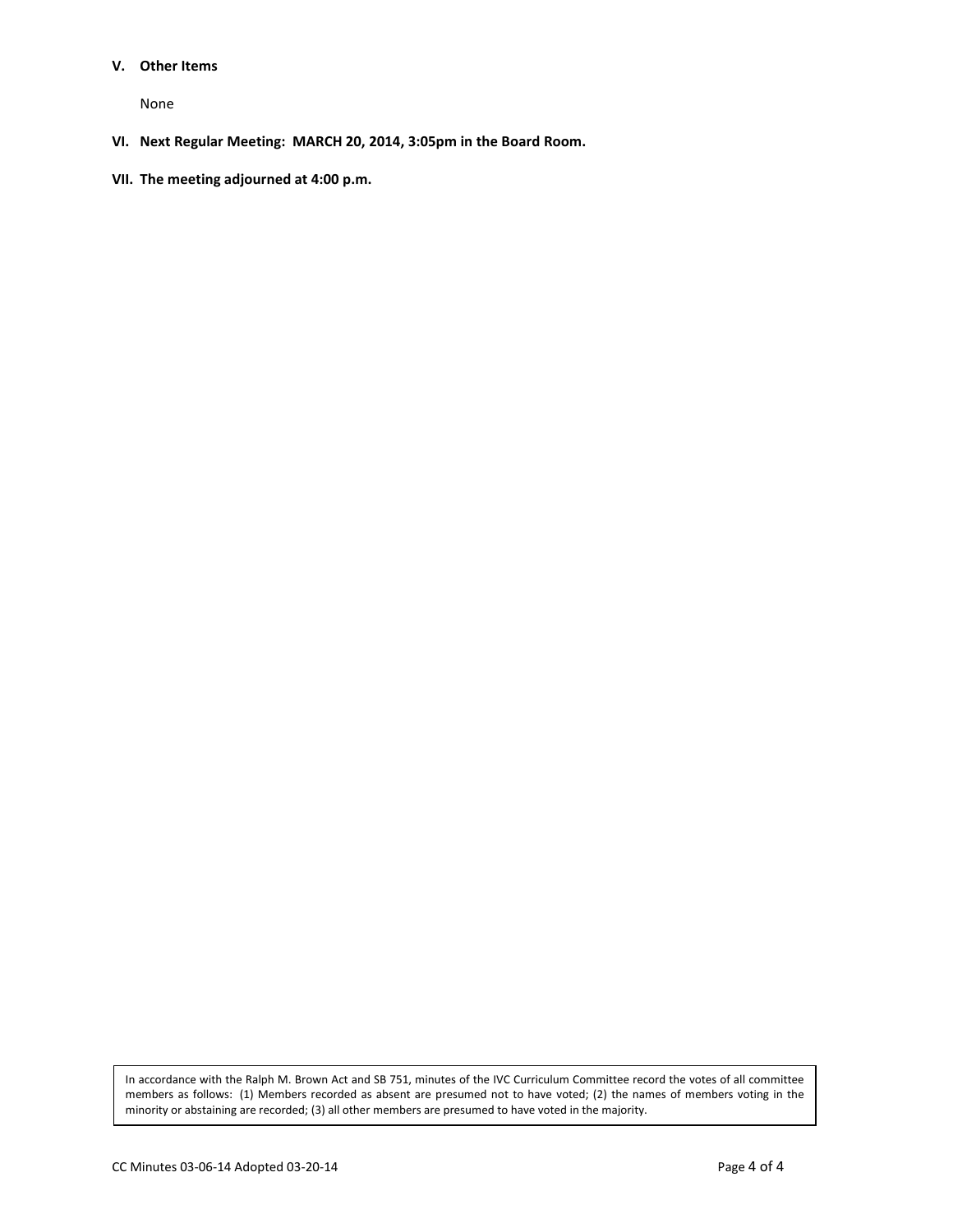#### **V. Other Items**

None

- **VI. Next Regular Meeting: MARCH 20, 2014, 3:05pm in the Board Room.**
- **VII. The meeting adjourned at 4:00 p.m.**

In accordance with the Ralph M. Brown Act and SB 751, minutes of the IVC Curriculum Committee record the votes of all committee members as follows: (1) Members recorded as absent are presumed not to have voted; (2) the names of members voting in the minority or abstaining are recorded; (3) all other members are presumed to have voted in the majority.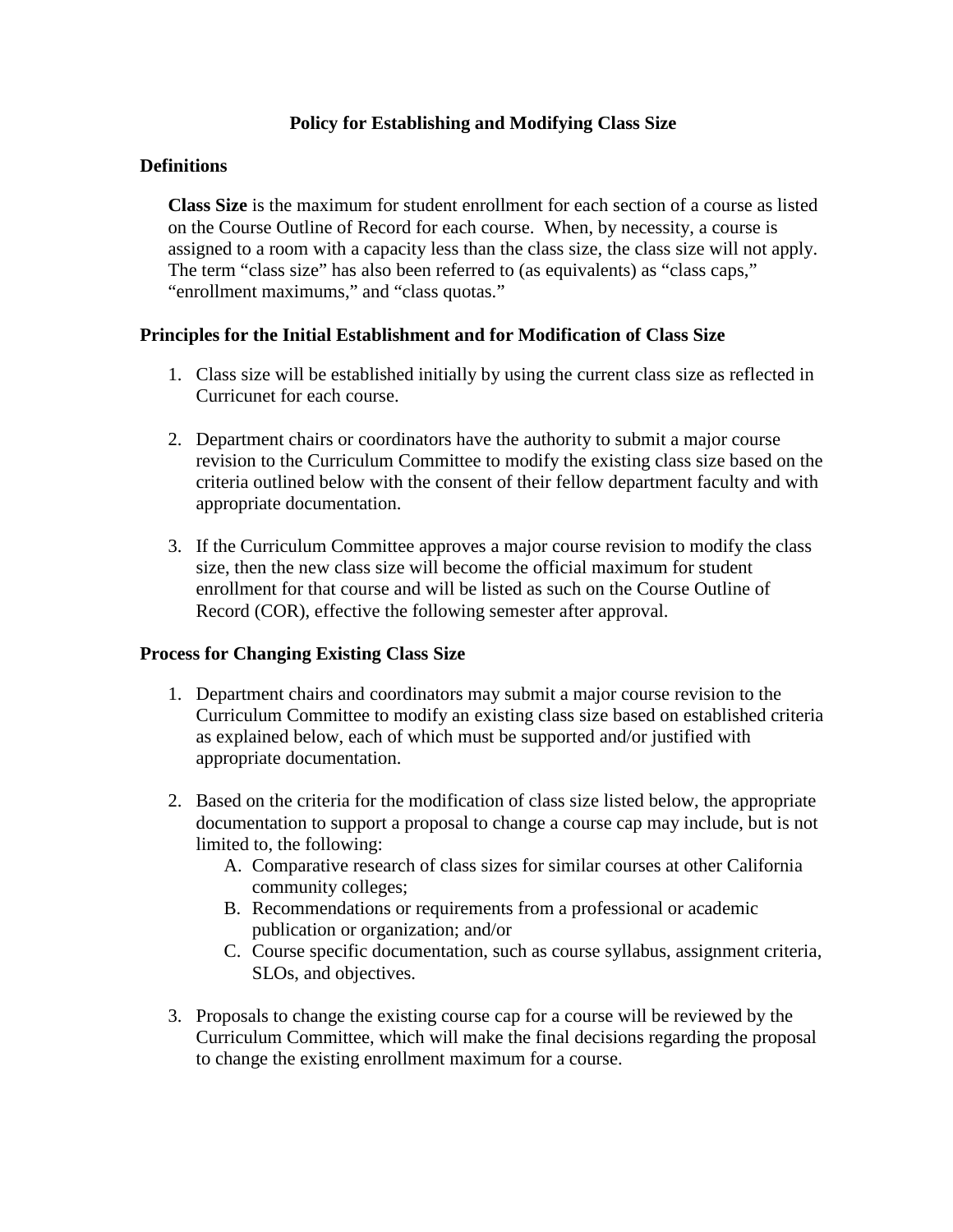# **Policy for Establishing and Modifying Class Size**

# **Definitions**

**Class Size** is the maximum for student enrollment for each section of a course as listed on the Course Outline of Record for each course. When, by necessity, a course is assigned to a room with a capacity less than the class size, the class size will not apply. The term "class size" has also been referred to (as equivalents) as "class caps," "enrollment maximums," and "class quotas."

# **Principles for the Initial Establishment and for Modification of Class Size**

- 1. Class size will be established initially by using the current class size as reflected in Curricunet for each course.
- 2. Department chairs or coordinators have the authority to submit a major course revision to the Curriculum Committee to modify the existing class size based on the criteria outlined below with the consent of their fellow department faculty and with appropriate documentation.
- 3. If the Curriculum Committee approves a major course revision to modify the class size, then the new class size will become the official maximum for student enrollment for that course and will be listed as such on the Course Outline of Record (COR), effective the following semester after approval.

# **Process for Changing Existing Class Size**

- 1. Department chairs and coordinators may submit a major course revision to the Curriculum Committee to modify an existing class size based on established criteria as explained below, each of which must be supported and/or justified with appropriate documentation.
- 2. Based on the criteria for the modification of class size listed below, the appropriate documentation to support a proposal to change a course cap may include, but is not limited to, the following:
	- A. Comparative research of class sizes for similar courses at other California community colleges;
	- B. Recommendations or requirements from a professional or academic publication or organization; and/or
	- C. Course specific documentation, such as course syllabus, assignment criteria, SLOs, and objectives.
- 3. Proposals to change the existing course cap for a course will be reviewed by the Curriculum Committee, which will make the final decisions regarding the proposal to change the existing enrollment maximum for a course.